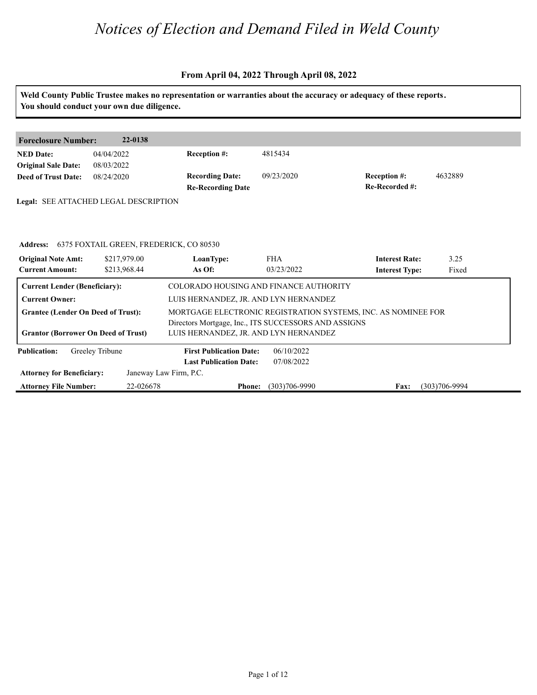|                                            |                                            |                                                      |                   | Weld County Public Trustee makes no representation or warranties about the accuracy or adequacy of these reports. |                   |  |
|--------------------------------------------|--------------------------------------------|------------------------------------------------------|-------------------|-------------------------------------------------------------------------------------------------------------------|-------------------|--|
|                                            | You should conduct your own due diligence. |                                                      |                   |                                                                                                                   |                   |  |
|                                            |                                            |                                                      |                   |                                                                                                                   |                   |  |
| <b>Foreclosure Number:</b>                 | 22-0138                                    |                                                      |                   |                                                                                                                   |                   |  |
| <b>NED</b> Date:                           | 04/04/2022                                 | Reception #:                                         | 4815434           |                                                                                                                   |                   |  |
| <b>Original Sale Date:</b>                 | 08/03/2022                                 |                                                      |                   |                                                                                                                   |                   |  |
| <b>Deed of Trust Date:</b>                 | 08/24/2020                                 | <b>Recording Date:</b>                               | 09/23/2020        | <b>Reception #:</b>                                                                                               | 4632889           |  |
|                                            |                                            | <b>Re-Recording Date</b>                             |                   | Re-Recorded #:                                                                                                    |                   |  |
|                                            | Legal: SEE ATTACHED LEGAL DESCRIPTION      |                                                      |                   |                                                                                                                   |                   |  |
|                                            |                                            |                                                      |                   |                                                                                                                   |                   |  |
|                                            |                                            |                                                      |                   |                                                                                                                   |                   |  |
| <b>Address:</b>                            | 6375 FOXTAIL GREEN, FREDERICK, CO 80530    |                                                      |                   |                                                                                                                   |                   |  |
| <b>Original Note Amt:</b>                  | \$217,979.00                               | LoanType:                                            | <b>FHA</b>        | <b>Interest Rate:</b>                                                                                             | 3.25              |  |
| <b>Current Amount:</b>                     | \$213,968.44                               | As Of:                                               | 03/23/2022        | <b>Interest Type:</b>                                                                                             | Fixed             |  |
| <b>Current Lender (Beneficiary):</b>       |                                            | COLORADO HOUSING AND FINANCE AUTHORITY               |                   |                                                                                                                   |                   |  |
| <b>Current Owner:</b>                      |                                            | LUIS HERNANDEZ, JR. AND LYN HERNANDEZ                |                   |                                                                                                                   |                   |  |
| <b>Grantee (Lender On Deed of Trust):</b>  |                                            |                                                      |                   | MORTGAGE ELECTRONIC REGISTRATION SYSTEMS, INC. AS NOMINEE FOR                                                     |                   |  |
|                                            |                                            | Directors Mortgage, Inc., ITS SUCCESSORS AND ASSIGNS |                   |                                                                                                                   |                   |  |
| <b>Grantor (Borrower On Deed of Trust)</b> |                                            | LUIS HERNANDEZ, JR. AND LYN HERNANDEZ                |                   |                                                                                                                   |                   |  |
| <b>Publication:</b>                        | Greeley Tribune                            | <b>First Publication Date:</b>                       | 06/10/2022        |                                                                                                                   |                   |  |
|                                            |                                            | <b>Last Publication Date:</b>                        | 07/08/2022        |                                                                                                                   |                   |  |
| <b>Attorney for Beneficiary:</b>           |                                            | Janeway Law Firm, P.C.                               |                   |                                                                                                                   |                   |  |
| <b>Attorney File Number:</b>               | 22-026678                                  | <b>Phone:</b>                                        | $(303)706 - 9990$ | Fax:                                                                                                              | $(303)706 - 9994$ |  |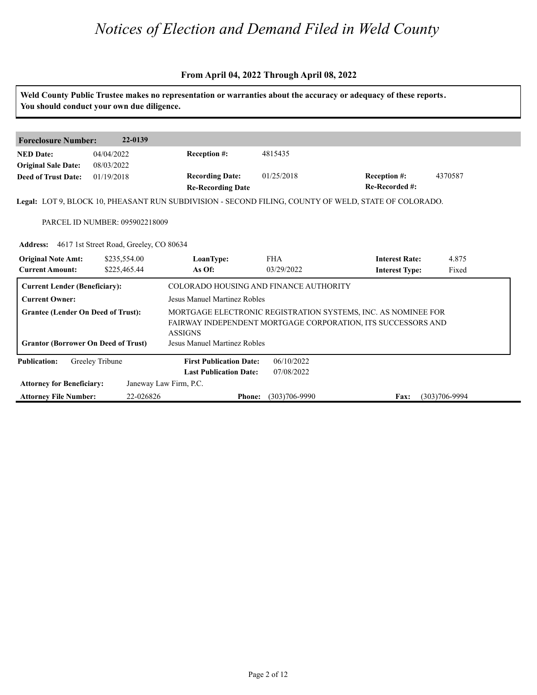#### **From April 04, 2022 Through April 08, 2022**

**Weld County Public Trustee makes no representation or warranties about the accuracy or adequacy of these reports. You should conduct your own due diligence. Foreclosure Number: 22-0139 NED Date: Re-Recorded #: Reception #:** 01/25/2018 4370587 **Re-Recording Date Recording Date: Reception #: Deed of Trust Date:**<br>**Deed of Trust Date: Legal:** LOT 9, BLOCK 10, PHEASANT RUN SUBDIVISION - SECOND FILING, COUNTY OF WELD, STATE OF COLORADO. 04/04/2022 08/03/2022 01/19/2018 4815435 PARCEL ID NUMBER: 095902218009 Address: 4617 1st Street Road, Greeley, CO 80634<br>**Original Note Amt: \$235,554.00 LoanType:<br>Current Amount: \$225,465.44 As Of: IoanType:** FHA **Interest Rate:** 4.875<br> **As Of:** 03/29/2022 **Interest Type:** Fixed **LoanType:** \$235,554.00 \$225,465.44 FHA **Interest Rate:** 03/29/2022 **Interest Type:** 4.875 Fixed **Current Lender (Beneficiary):** COLORADO HOUSING AND FINANCE AUTHORITY **Current Owner:** Jesus Manuel Martinez Robles **Grantee (Lender On Deed of Trust):** MORTGAGE ELECTRONIC REGISTRATION SYSTEMS, INC. AS NOMINEE FOR FAIRWAY INDEPENDENT MORTGAGE CORPORATION, ITS SUCCESSORS AND ASSIGNS **Grantor (Borrower On Deed of Trust)** Jesus Manuel Martinez Robles **Publication: Attorney for Beneficiary: Attorney File Number: Last Publication Date: Phone: Fax:** 22-026826 (303)706-9990 (303)706-9994 **First Publication Date:** Janeway Law Firm, P.C. 06/10/2022 07/08/2022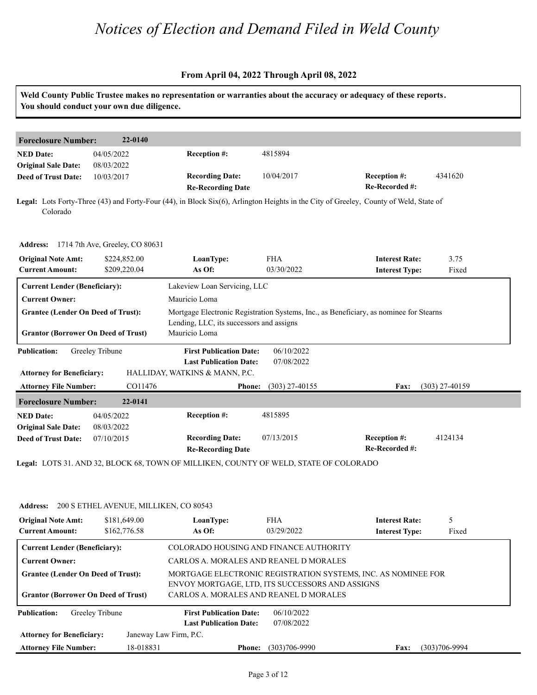|                                                         | You should conduct your own due diligence. |                                                                                                   |                                                                                        | Weld County Public Trustee makes no representation or warranties about the accuracy or adequacy of these reports.                     |                   |  |  |
|---------------------------------------------------------|--------------------------------------------|---------------------------------------------------------------------------------------------------|----------------------------------------------------------------------------------------|---------------------------------------------------------------------------------------------------------------------------------------|-------------------|--|--|
| <b>Foreclosure Number:</b>                              | 22-0140                                    |                                                                                                   |                                                                                        |                                                                                                                                       |                   |  |  |
| <b>NED Date:</b><br><b>Original Sale Date:</b>          | 04/05/2022<br>08/03/2022                   | Reception #:                                                                                      | 4815894                                                                                |                                                                                                                                       |                   |  |  |
| <b>Deed of Trust Date:</b>                              | 10/03/2017                                 | <b>Recording Date:</b><br><b>Re-Recording Date</b>                                                | 10/04/2017                                                                             | Reception #:<br>Re-Recorded #:                                                                                                        | 4341620           |  |  |
| Colorado                                                |                                            |                                                                                                   |                                                                                        | Legal: Lots Forty-Three (43) and Forty-Four (44), in Block Six(6), Arlington Heights in the City of Greeley, County of Weld, State of |                   |  |  |
|                                                         | Address: 1714 7th Ave, Greeley, CO 80631   |                                                                                                   |                                                                                        |                                                                                                                                       |                   |  |  |
| <b>Original Note Amt:</b><br><b>Current Amount:</b>     | \$224,852.00<br>\$209,220.04               | LoanType:<br>As Of:                                                                               | <b>FHA</b><br>03/30/2022                                                               | <b>Interest Rate:</b><br><b>Interest Type:</b>                                                                                        | 3.75<br>Fixed     |  |  |
| <b>Current Lender (Beneficiary):</b>                    |                                            | Lakeview Loan Servicing, LLC                                                                      |                                                                                        |                                                                                                                                       |                   |  |  |
| <b>Current Owner:</b>                                   |                                            | Mauricio Loma                                                                                     |                                                                                        |                                                                                                                                       |                   |  |  |
| <b>Grantee (Lender On Deed of Trust):</b>               |                                            |                                                                                                   | Mortgage Electronic Registration Systems, Inc., as Beneficiary, as nominee for Stearns |                                                                                                                                       |                   |  |  |
| <b>Grantor (Borrower On Deed of Trust)</b>              |                                            | Lending, LLC, its successors and assigns<br>Mauricio Loma                                         |                                                                                        |                                                                                                                                       |                   |  |  |
| <b>Publication:</b><br><b>Attorney for Beneficiary:</b> | Greeley Tribune                            | <b>First Publication Date:</b><br><b>Last Publication Date:</b><br>HALLIDAY, WATKINS & MANN, P.C. | 06/10/2022<br>07/08/2022                                                               |                                                                                                                                       |                   |  |  |
| <b>Attorney File Number:</b>                            | CO11476                                    | <b>Phone:</b>                                                                                     | $(303)$ 27-40155                                                                       | <b>Fax:</b>                                                                                                                           | $(303)$ 27-40159  |  |  |
| <b>Foreclosure Number:</b>                              | 22-0141                                    |                                                                                                   |                                                                                        |                                                                                                                                       |                   |  |  |
| <b>NED Date:</b>                                        | 04/05/2022                                 | <b>Reception #:</b>                                                                               | 4815895                                                                                |                                                                                                                                       |                   |  |  |
| <b>Original Sale Date:</b>                              | 08/03/2022                                 |                                                                                                   |                                                                                        |                                                                                                                                       |                   |  |  |
| <b>Deed of Trust Date:</b>                              | 07/10/2015                                 | <b>Recording Date:</b><br><b>Re-Recording Date</b>                                                | 07/13/2015                                                                             | Reception #:<br>Re-Recorded #:                                                                                                        | 4124134           |  |  |
|                                                         |                                            | Legal: LOTS 31. AND 32, BLOCK 68, TOWN OF MILLIKEN, COUNTY OF WELD, STATE OF COLORADO             |                                                                                        |                                                                                                                                       |                   |  |  |
|                                                         |                                            |                                                                                                   |                                                                                        |                                                                                                                                       |                   |  |  |
| <b>Address:</b>                                         | 200 S ETHEL AVENUE, MILLIKEN, CO 80543     |                                                                                                   |                                                                                        |                                                                                                                                       |                   |  |  |
| <b>Original Note Amt:</b>                               | \$181,649.00                               | LoanType:                                                                                         | <b>FHA</b>                                                                             | <b>Interest Rate:</b>                                                                                                                 | 5                 |  |  |
| <b>Current Amount:</b>                                  | \$162,776.58                               | As Of:                                                                                            | 03/29/2022                                                                             | <b>Interest Type:</b>                                                                                                                 | Fixed             |  |  |
| <b>Current Lender (Beneficiary):</b>                    |                                            | COLORADO HOUSING AND FINANCE AUTHORITY                                                            |                                                                                        |                                                                                                                                       |                   |  |  |
| <b>Current Owner:</b>                                   |                                            | CARLOS A. MORALES AND REANEL D MORALES                                                            |                                                                                        |                                                                                                                                       |                   |  |  |
| <b>Grantee (Lender On Deed of Trust):</b>               |                                            | MORTGAGE ELECTRONIC REGISTRATION SYSTEMS, INC. AS NOMINEE FOR                                     |                                                                                        |                                                                                                                                       |                   |  |  |
| <b>Grantor (Borrower On Deed of Trust)</b>              |                                            | ENVOY MORTGAGE, LTD, ITS SUCCESSORS AND ASSIGNS<br>CARLOS A. MORALES AND REANEL D MORALES         |                                                                                        |                                                                                                                                       |                   |  |  |
| <b>Publication:</b>                                     | Greeley Tribune                            | <b>First Publication Date:</b><br><b>Last Publication Date:</b>                                   | 06/10/2022<br>07/08/2022                                                               |                                                                                                                                       |                   |  |  |
| <b>Attorney for Beneficiary:</b>                        |                                            | Janeway Law Firm, P.C.                                                                            |                                                                                        |                                                                                                                                       |                   |  |  |
| <b>Attorney File Number:</b>                            | 18-018831                                  | <b>Phone:</b>                                                                                     | $(303)706 - 9990$                                                                      | <b>Fax:</b>                                                                                                                           | $(303)706 - 9994$ |  |  |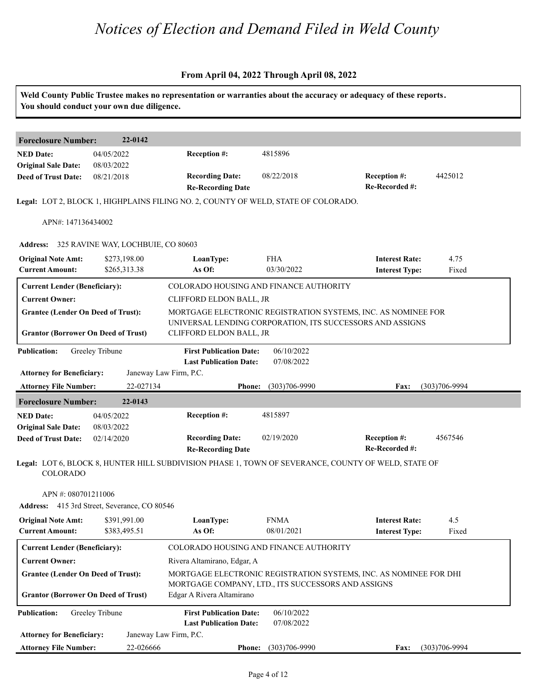|                                                                                         | You should conduct your own due diligence.   |                                                                                                                         |                           | Weld County Public Trustee makes no representation or warranties about the accuracy or adequacy of these reports.          |                   |
|-----------------------------------------------------------------------------------------|----------------------------------------------|-------------------------------------------------------------------------------------------------------------------------|---------------------------|----------------------------------------------------------------------------------------------------------------------------|-------------------|
| <b>Foreclosure Number:</b>                                                              | 22-0142                                      |                                                                                                                         |                           |                                                                                                                            |                   |
| <b>NED Date:</b><br><b>Original Sale Date:</b>                                          | 04/05/2022<br>08/03/2022                     | Reception #:                                                                                                            | 4815896                   |                                                                                                                            |                   |
| <b>Deed of Trust Date:</b>                                                              | 08/21/2018                                   | <b>Recording Date:</b><br><b>Re-Recording Date</b>                                                                      | 08/22/2018                | <b>Reception #:</b><br>Re-Recorded #:                                                                                      | 4425012           |
|                                                                                         |                                              | Legal: LOT 2, BLOCK 1, HIGHPLAINS FILING NO. 2, COUNTY OF WELD, STATE OF COLORADO.                                      |                           |                                                                                                                            |                   |
| APN#: 147136434002                                                                      |                                              |                                                                                                                         |                           |                                                                                                                            |                   |
|                                                                                         | Address: 325 RAVINE WAY, LOCHBUIE, CO 80603  |                                                                                                                         |                           |                                                                                                                            |                   |
| <b>Original Note Amt:</b><br><b>Current Amount:</b>                                     | \$273,198.00<br>\$265,313.38                 | LoanType:<br>As Of:                                                                                                     | <b>FHA</b><br>03/30/2022  | <b>Interest Rate:</b><br><b>Interest Type:</b>                                                                             | 4.75<br>Fixed     |
| <b>Current Lender (Beneficiary):</b>                                                    |                                              | COLORADO HOUSING AND FINANCE AUTHORITY                                                                                  |                           |                                                                                                                            |                   |
| <b>Current Owner:</b>                                                                   |                                              | CLIFFORD ELDON BALL, JR                                                                                                 |                           |                                                                                                                            |                   |
| <b>Grantee (Lender On Deed of Trust):</b><br><b>Grantor (Borrower On Deed of Trust)</b> |                                              | CLIFFORD ELDON BALL, JR                                                                                                 |                           | MORTGAGE ELECTRONIC REGISTRATION SYSTEMS, INC. AS NOMINEE FOR<br>UNIVERSAL LENDING CORPORATION, ITS SUCCESSORS AND ASSIGNS |                   |
| <b>Publication:</b><br><b>Attorney for Beneficiary:</b>                                 | Greeley Tribune                              | <b>First Publication Date:</b><br><b>Last Publication Date:</b><br>Janeway Law Firm, P.C.                               | 06/10/2022<br>07/08/2022  |                                                                                                                            |                   |
| <b>Attorney File Number:</b>                                                            | 22-027134                                    | <b>Phone:</b>                                                                                                           | $(303)706 - 9990$         | Fax:                                                                                                                       | $(303)706 - 9994$ |
| <b>Foreclosure Number:</b>                                                              | 22-0143                                      |                                                                                                                         |                           |                                                                                                                            |                   |
| <b>NED Date:</b>                                                                        | 04/05/2022                                   | Reception #:                                                                                                            | 4815897                   |                                                                                                                            |                   |
| <b>Original Sale Date:</b><br><b>Deed of Trust Date:</b>                                | 08/03/2022<br>02/14/2020                     | <b>Recording Date:</b><br><b>Re-Recording Date</b>                                                                      | 02/19/2020                | Reception #:<br>Re-Recorded #:                                                                                             | 4567546           |
| <b>COLORADO</b>                                                                         |                                              |                                                                                                                         |                           | Legal: LOT 6, BLOCK 8, HUNTER HILL SUBDIVISION PHASE 1, TOWN OF SEVERANCE, COUNTY OF WELD, STATE OF                        |                   |
| APN #: 080701211006                                                                     | Address: 415 3rd Street, Severance, CO 80546 |                                                                                                                         |                           |                                                                                                                            |                   |
| <b>Original Note Amt:</b><br><b>Current Amount:</b>                                     | \$391,991.00<br>\$383,495.51                 | LoanType:<br>As Of:                                                                                                     | <b>FNMA</b><br>08/01/2021 | <b>Interest Rate:</b><br><b>Interest Type:</b>                                                                             | 4.5<br>Fixed      |
| <b>Current Lender (Beneficiary):</b>                                                    |                                              | COLORADO HOUSING AND FINANCE AUTHORITY                                                                                  |                           |                                                                                                                            |                   |
| <b>Current Owner:</b>                                                                   |                                              | Rivera Altamirano, Edgar, A                                                                                             |                           |                                                                                                                            |                   |
| <b>Grantee (Lender On Deed of Trust):</b>                                               |                                              | MORTGAGE ELECTRONIC REGISTRATION SYSTEMS, INC. AS NOMINEE FOR DHI<br>MORTGAGE COMPANY, LTD., ITS SUCCESSORS AND ASSIGNS |                           |                                                                                                                            |                   |
| <b>Grantor (Borrower On Deed of Trust)</b>                                              |                                              | Edgar A Rivera Altamirano                                                                                               |                           |                                                                                                                            |                   |
| <b>Publication:</b>                                                                     | Greeley Tribune                              | <b>First Publication Date:</b><br><b>Last Publication Date:</b>                                                         | 06/10/2022<br>07/08/2022  |                                                                                                                            |                   |
| <b>Attorney for Beneficiary:</b>                                                        |                                              | Janeway Law Firm, P.C.                                                                                                  |                           |                                                                                                                            |                   |
| <b>Attorney File Number:</b>                                                            | 22-026666                                    |                                                                                                                         | Phone: (303)706-9990      | <b>Fax:</b>                                                                                                                | $(303)706 - 9994$ |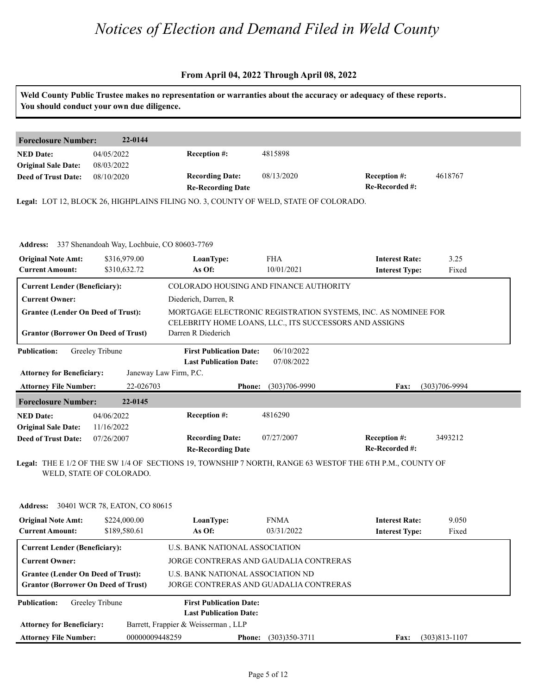|                                                                                         | You should conduct your own due diligence. |                                                                 | Weld County Public Trustee makes no representation or warranties about the accuracy or adequacy of these reports. |                                                |                    |
|-----------------------------------------------------------------------------------------|--------------------------------------------|-----------------------------------------------------------------|-------------------------------------------------------------------------------------------------------------------|------------------------------------------------|--------------------|
| <b>Foreclosure Number:</b>                                                              | 22-0144                                    |                                                                 |                                                                                                                   |                                                |                    |
| <b>NED Date:</b><br><b>Original Sale Date:</b>                                          | 04/05/2022<br>08/03/2022                   | Reception #:                                                    | 4815898                                                                                                           |                                                |                    |
| <b>Deed of Trust Date:</b>                                                              | 08/10/2020                                 | <b>Recording Date:</b><br><b>Re-Recording Date</b>              | 08/13/2020                                                                                                        | Reception #:<br>Re-Recorded #:                 | 4618767            |
|                                                                                         |                                            |                                                                 | Legal: LOT 12, BLOCK 26, HIGHPLAINS FILING NO. 3, COUNTY OF WELD, STATE OF COLORADO.                              |                                                |                    |
| Address: 337 Shenandoah Way, Lochbuie, CO 80603-7769                                    |                                            |                                                                 |                                                                                                                   |                                                |                    |
| <b>Original Note Amt:</b><br><b>Current Amount:</b>                                     | \$316,979.00<br>\$310,632.72               | LoanType:<br>As Of:                                             | <b>FHA</b><br>10/01/2021                                                                                          | <b>Interest Rate:</b><br><b>Interest Type:</b> | 3.25<br>Fixed      |
| <b>Current Lender (Beneficiary):</b>                                                    |                                            |                                                                 | COLORADO HOUSING AND FINANCE AUTHORITY                                                                            |                                                |                    |
| <b>Current Owner:</b>                                                                   |                                            | Diederich, Darren, R                                            |                                                                                                                   |                                                |                    |
| <b>Grantee (Lender On Deed of Trust):</b>                                               |                                            |                                                                 | MORTGAGE ELECTRONIC REGISTRATION SYSTEMS, INC. AS NOMINEE FOR                                                     |                                                |                    |
| <b>Grantor (Borrower On Deed of Trust)</b>                                              |                                            | Darren R Diederich                                              | CELEBRITY HOME LOANS, LLC., ITS SUCCESSORS AND ASSIGNS                                                            |                                                |                    |
| <b>Publication:</b>                                                                     | Greeley Tribune                            | <b>First Publication Date:</b><br><b>Last Publication Date:</b> | 06/10/2022<br>07/08/2022                                                                                          |                                                |                    |
| <b>Attorney for Beneficiary:</b>                                                        |                                            | Janeway Law Firm, P.C.                                          |                                                                                                                   |                                                |                    |
| <b>Attorney File Number:</b>                                                            | 22-026703                                  | <b>Phone:</b>                                                   | $(303)706 - 9990$                                                                                                 | Fax:                                           | $(303)706 - 9994$  |
| <b>Foreclosure Number:</b>                                                              | 22-0145                                    |                                                                 |                                                                                                                   |                                                |                    |
| <b>NED Date:</b>                                                                        | 04/06/2022                                 | Reception #:                                                    | 4816290                                                                                                           |                                                |                    |
| <b>Original Sale Date:</b><br><b>Deed of Trust Date:</b>                                | 11/16/2022<br>07/26/2007                   | <b>Recording Date:</b><br><b>Re-Recording Date</b>              | 07/27/2007                                                                                                        | Reception #:<br>Re-Recorded #:                 | 3493212            |
|                                                                                         | WELD, STATE OF COLORADO.                   |                                                                 | Legal: THE E 1/2 OF THE SW 1/4 OF SECTIONS 19, TOWNSHIP 7 NORTH, RANGE 63 WESTOF THE 6TH P.M., COUNTY OF          |                                                |                    |
| <b>Address:</b>                                                                         | 30401 WCR 78, EATON, CO 80615              |                                                                 |                                                                                                                   |                                                |                    |
| <b>Original Note Amt:</b>                                                               | \$224,000.00                               | LoanType:                                                       | <b>FNMA</b>                                                                                                       | <b>Interest Rate:</b>                          | 9.050              |
| <b>Current Amount:</b>                                                                  | \$189,580.61                               | As Of:                                                          | 03/31/2022                                                                                                        | <b>Interest Type:</b>                          | Fixed              |
| <b>Current Lender (Beneficiary):</b>                                                    |                                            | U.S. BANK NATIONAL ASSOCIATION                                  |                                                                                                                   |                                                |                    |
| <b>Current Owner:</b>                                                                   |                                            |                                                                 | JORGE CONTRERAS AND GAUDALIA CONTRERAS                                                                            |                                                |                    |
| <b>Grantee (Lender On Deed of Trust):</b><br><b>Grantor (Borrower On Deed of Trust)</b> |                                            | <b>U.S. BANK NATIONAL ASSOCIATION ND</b>                        | JORGE CONTRERAS AND GUADALIA CONTRERAS                                                                            |                                                |                    |
| <b>Publication:</b>                                                                     | Greeley Tribune                            | <b>First Publication Date:</b><br><b>Last Publication Date:</b> |                                                                                                                   |                                                |                    |
| <b>Attorney for Beneficiary:</b>                                                        |                                            | Barrett, Frappier & Weisserman, LLP                             |                                                                                                                   |                                                |                    |
| <b>Attorney File Number:</b>                                                            | 00000009448259                             |                                                                 | <b>Phone:</b> (303)350-3711                                                                                       |                                                | Fax: (303)813-1107 |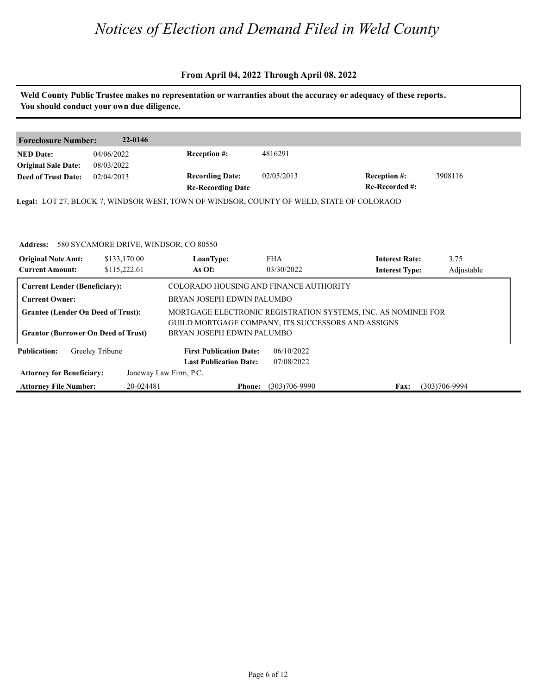|                                                | You should conduct your own due diligence.     |                                                                                          |                                        | Weld County Public Trustee makes no representation or warranties about the accuracy or adequacy of these reports. |            |  |
|------------------------------------------------|------------------------------------------------|------------------------------------------------------------------------------------------|----------------------------------------|-------------------------------------------------------------------------------------------------------------------|------------|--|
|                                                |                                                |                                                                                          |                                        |                                                                                                                   |            |  |
| <b>Foreclosure Number:</b>                     | 22-0146                                        |                                                                                          |                                        |                                                                                                                   |            |  |
| <b>NED</b> Date:<br><b>Original Sale Date:</b> | 04/06/2022<br>08/03/2022                       | Reception #:                                                                             | 4816291                                |                                                                                                                   |            |  |
| <b>Deed of Trust Date:</b>                     | 02/04/2013                                     | <b>Recording Date:</b><br><b>Re-Recording Date</b>                                       | 02/05/2013                             | Reception #:<br>Re-Recorded #:                                                                                    | 3908116    |  |
|                                                |                                                | Legal: LOT 27, BLOCK 7, WINDSOR WEST, TOWN OF WINDSOR, COUNTY OF WELD, STATE OF COLORAOD |                                        |                                                                                                                   |            |  |
|                                                |                                                |                                                                                          |                                        |                                                                                                                   |            |  |
|                                                |                                                |                                                                                          |                                        |                                                                                                                   |            |  |
|                                                | Address: 580 SYCAMORE DRIVE, WINDSOR, CO 80550 |                                                                                          |                                        |                                                                                                                   |            |  |
| <b>Original Note Amt:</b>                      | \$133,170.00                                   | LoanType:                                                                                | <b>FHA</b>                             | <b>Interest Rate:</b>                                                                                             | 3.75       |  |
| <b>Current Amount:</b>                         | \$115,222.61                                   | As Of:                                                                                   | 03/30/2022                             | <b>Interest Type:</b>                                                                                             | Adjustable |  |
| <b>Current Lender (Beneficiary):</b>           |                                                |                                                                                          | COLORADO HOUSING AND FINANCE AUTHORITY |                                                                                                                   |            |  |
| <b>Current Owner:</b>                          |                                                | BRYAN JOSEPH EDWIN PALUMBO                                                               |                                        |                                                                                                                   |            |  |
| <b>Grantee (Lender On Deed of Trust):</b>      |                                                |                                                                                          |                                        | MORTGAGE ELECTRONIC REGISTRATION SYSTEMS, INC. AS NOMINEE FOR                                                     |            |  |
| <b>Grantor (Borrower On Deed of Trust)</b>     |                                                | GUILD MORTGAGE COMPANY, ITS SUCCESSORS AND ASSIGNS                                       |                                        |                                                                                                                   |            |  |
|                                                |                                                | BRYAN JOSEPH EDWIN PALUMBO                                                               |                                        |                                                                                                                   |            |  |
| <b>Publication:</b>                            | Greeley Tribune                                | <b>First Publication Date:</b>                                                           | 06/10/2022                             |                                                                                                                   |            |  |
|                                                |                                                | <b>Last Publication Date:</b>                                                            | 07/08/2022                             |                                                                                                                   |            |  |
| <b>Attorney for Beneficiary:</b>               |                                                | Janeway Law Firm, P.C.                                                                   |                                        |                                                                                                                   |            |  |
|                                                |                                                |                                                                                          |                                        |                                                                                                                   |            |  |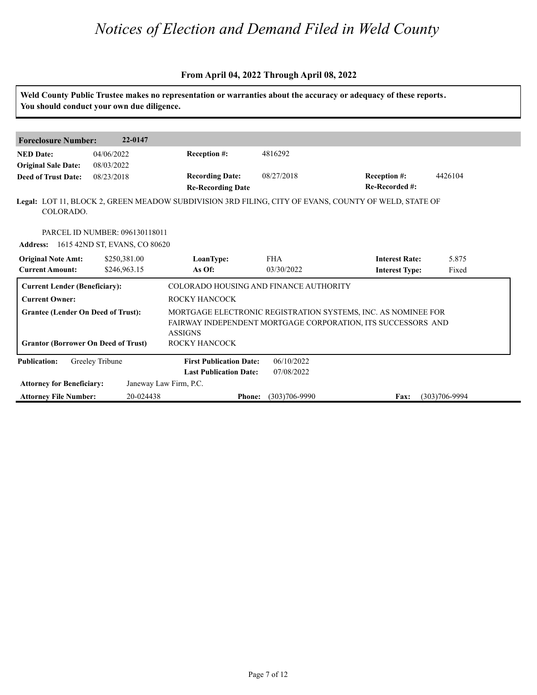| Weld County Public Trustee makes no representation or warranties about the accuracy or adequacy of these reports.<br>You should conduct your own due diligence. |                                               |                                        |                   |                                                                                                                               |                   |  |
|-----------------------------------------------------------------------------------------------------------------------------------------------------------------|-----------------------------------------------|----------------------------------------|-------------------|-------------------------------------------------------------------------------------------------------------------------------|-------------------|--|
|                                                                                                                                                                 |                                               |                                        |                   |                                                                                                                               |                   |  |
| <b>Foreclosure Number:</b>                                                                                                                                      | 22-0147                                       |                                        |                   |                                                                                                                               |                   |  |
| <b>NED Date:</b>                                                                                                                                                | 04/06/2022                                    | <b>Reception #:</b>                    | 4816292           |                                                                                                                               |                   |  |
| <b>Original Sale Date:</b>                                                                                                                                      | 08/03/2022                                    |                                        |                   |                                                                                                                               |                   |  |
| <b>Deed of Trust Date:</b>                                                                                                                                      | 08/23/2018                                    | <b>Recording Date:</b>                 | 08/27/2018        | Reception #:                                                                                                                  | 4426104           |  |
|                                                                                                                                                                 |                                               | <b>Re-Recording Date</b>               |                   | Re-Recorded #:                                                                                                                |                   |  |
| COLORADO.                                                                                                                                                       |                                               |                                        |                   | Legal: LOT 11, BLOCK 2, GREEN MEADOW SUBDIVISION 3RD FILING, CITY OF EVANS, COUNTY OF WELD, STATE OF                          |                   |  |
|                                                                                                                                                                 | PARCEL ID NUMBER: 096130118011                |                                        |                   |                                                                                                                               |                   |  |
|                                                                                                                                                                 | <b>Address:</b> 1615 42ND ST, EVANS, CO 80620 |                                        |                   |                                                                                                                               |                   |  |
| <b>Original Note Amt:</b>                                                                                                                                       | \$250,381.00                                  | LoanType:                              | <b>FHA</b>        | <b>Interest Rate:</b>                                                                                                         | 5.875             |  |
| <b>Current Amount:</b>                                                                                                                                          | \$246,963.15                                  | As Of:                                 | 03/30/2022        | <b>Interest Type:</b>                                                                                                         | Fixed             |  |
| <b>Current Lender (Beneficiary):</b>                                                                                                                            |                                               | COLORADO HOUSING AND FINANCE AUTHORITY |                   |                                                                                                                               |                   |  |
| <b>Current Owner:</b>                                                                                                                                           |                                               | <b>ROCKY HANCOCK</b>                   |                   |                                                                                                                               |                   |  |
| <b>Grantee (Lender On Deed of Trust):</b><br><b>Grantor (Borrower On Deed of Trust)</b>                                                                         |                                               | <b>ASSIGNS</b><br>ROCKY HANCOCK        |                   | MORTGAGE ELECTRONIC REGISTRATION SYSTEMS, INC. AS NOMINEE FOR<br>FAIRWAY INDEPENDENT MORTGAGE CORPORATION, ITS SUCCESSORS AND |                   |  |
|                                                                                                                                                                 |                                               |                                        |                   |                                                                                                                               |                   |  |
| <b>Publication:</b>                                                                                                                                             | Greeley Tribune                               | <b>First Publication Date:</b>         | 06/10/2022        |                                                                                                                               |                   |  |
|                                                                                                                                                                 |                                               | <b>Last Publication Date:</b>          | 07/08/2022        |                                                                                                                               |                   |  |
| <b>Attorney for Beneficiary:</b>                                                                                                                                |                                               | Janeway Law Firm, P.C.                 |                   |                                                                                                                               |                   |  |
| <b>Attorney File Number:</b>                                                                                                                                    | 20-024438                                     | <b>Phone:</b>                          | $(303)706 - 9990$ | <b>Fax:</b>                                                                                                                   | $(303)706 - 9994$ |  |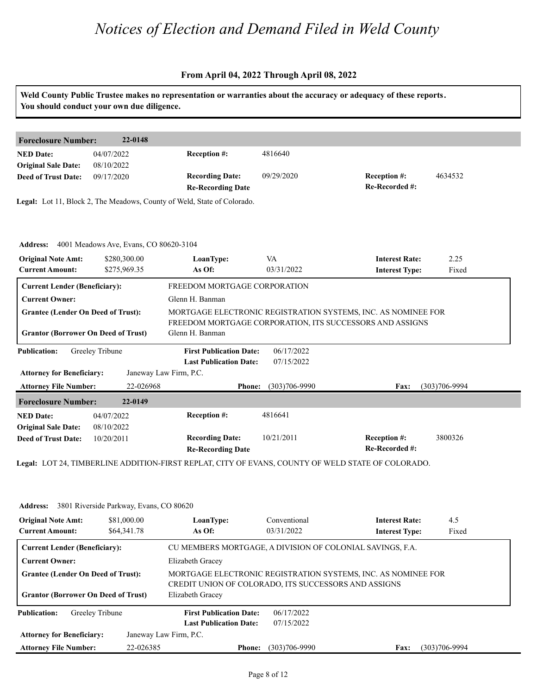#### **From April 04, 2022 Through April 08, 2022**

|                                                     | You should conduct your own due diligence.      |                                                                          |                          | Weld County Public Trustee makes no representation or warranties about the accuracy or adequacy of these reports. |                   |
|-----------------------------------------------------|-------------------------------------------------|--------------------------------------------------------------------------|--------------------------|-------------------------------------------------------------------------------------------------------------------|-------------------|
| <b>Foreclosure Number:</b>                          | 22-0148                                         |                                                                          |                          |                                                                                                                   |                   |
| <b>NED Date:</b><br><b>Original Sale Date:</b>      | 04/07/2022<br>08/10/2022                        | Reception #:                                                             | 4816640                  |                                                                                                                   |                   |
| <b>Deed of Trust Date:</b>                          | 09/17/2020                                      | <b>Recording Date:</b><br><b>Re-Recording Date</b>                       | 09/29/2020               | Reception #:<br>Re-Recorded #:                                                                                    | 4634532           |
|                                                     |                                                 | Legal: Lot 11, Block 2, The Meadows, County of Weld, State of Colorado.  |                          |                                                                                                                   |                   |
|                                                     | Address: 4001 Meadows Ave, Evans, CO 80620-3104 |                                                                          |                          |                                                                                                                   |                   |
| <b>Original Note Amt:</b><br><b>Current Amount:</b> | \$280,300.00<br>\$275,969.35                    | LoanType:<br>As Of:                                                      | VA<br>03/31/2022         | <b>Interest Rate:</b><br><b>Interest Type:</b>                                                                    | 2.25<br>Fixed     |
| <b>Current Lender (Beneficiary):</b>                |                                                 | FREEDOM MORTGAGE CORPORATION                                             |                          |                                                                                                                   |                   |
| <b>Current Owner:</b>                               |                                                 | Glenn H. Banman                                                          |                          |                                                                                                                   |                   |
| <b>Grantee (Lender On Deed of Trust):</b>           |                                                 |                                                                          |                          | MORTGAGE ELECTRONIC REGISTRATION SYSTEMS, INC. AS NOMINEE FOR                                                     |                   |
| <b>Grantor (Borrower On Deed of Trust)</b>          |                                                 | Glenn H. Banman                                                          |                          | FREEDOM MORTGAGE CORPORATION, ITS SUCCESSORS AND ASSIGNS                                                          |                   |
| <b>Publication:</b>                                 | Greeley Tribune                                 | <b>First Publication Date:</b>                                           | 06/17/2022               |                                                                                                                   |                   |
| <b>Attorney for Beneficiary:</b>                    |                                                 | <b>Last Publication Date:</b><br>Janeway Law Firm, P.C.                  | 07/15/2022               |                                                                                                                   |                   |
| <b>Attorney File Number:</b>                        | 22-026968                                       | <b>Phone:</b>                                                            | $(303)706 - 9990$        | Fax:                                                                                                              | $(303)706 - 9994$ |
| <b>Foreclosure Number:</b>                          | 22-0149                                         |                                                                          |                          |                                                                                                                   |                   |
|                                                     |                                                 | Reception #:                                                             | 4816641                  |                                                                                                                   |                   |
| <b>NED Date:</b>                                    | 04/07/2022                                      |                                                                          |                          |                                                                                                                   |                   |
| <b>Original Sale Date:</b>                          | 08/10/2022                                      |                                                                          |                          |                                                                                                                   |                   |
| <b>Deed of Trust Date:</b>                          | 10/20/2011                                      | <b>Recording Date:</b><br><b>Re-Recording Date</b>                       | 10/21/2011               | Reception #:<br>Re-Recorded #:                                                                                    | 3800326           |
|                                                     |                                                 |                                                                          |                          | Legal: LOT 24, TIMBERLINE ADDITION-FIRST REPLAT, CITY OF EVANS, COUNTY OF WELD STATE OF COLORADO.                 |                   |
| <b>Address:</b>                                     | 3801 Riverside Parkway, Evans, CO 80620         |                                                                          |                          |                                                                                                                   |                   |
| <b>Original Note Amt:</b>                           | \$81,000.00                                     | LoanType:                                                                | Conventional             | <b>Interest Rate:</b>                                                                                             | 4.5               |
| <b>Current Amount:</b>                              | \$64,341.78                                     | As Of:                                                                   | 03/31/2022               | <b>Interest Type:</b>                                                                                             | Fixed             |
| <b>Current Lender (Beneficiary):</b>                |                                                 |                                                                          |                          | CU MEMBERS MORTGAGE, A DIVISION OF COLONIAL SAVINGS, F.A.                                                         |                   |
| <b>Current Owner:</b>                               |                                                 | Elizabeth Gracey                                                         |                          |                                                                                                                   |                   |
| <b>Grantee (Lender On Deed of Trust):</b>           |                                                 |                                                                          |                          | MORTGAGE ELECTRONIC REGISTRATION SYSTEMS, INC. AS NOMINEE FOR                                                     |                   |
| <b>Grantor (Borrower On Deed of Trust)</b>          |                                                 | CREDIT UNION OF COLORADO, ITS SUCCESSORS AND ASSIGNS<br>Elizabeth Gracey |                          |                                                                                                                   |                   |
| <b>Publication:</b>                                 | Greeley Tribune                                 | <b>First Publication Date:</b><br><b>Last Publication Date:</b>          | 06/17/2022<br>07/15/2022 |                                                                                                                   |                   |

**Phone: Fax:** 22-026385 (303)706-9990 (303)706-9994

**Attorney File Number:**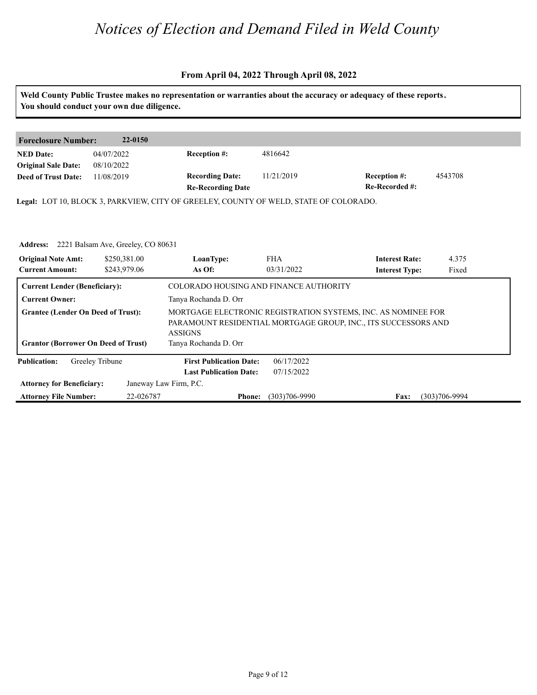#### **From April 04, 2022 Through April 08, 2022**

**Weld County Public Trustee makes no representation or warranties about the accuracy or adequacy of these reports. You should conduct your own due diligence. Foreclosure Number: 22-0150 NED Date: Re-Recorded #:** 11/21/2019 **Reception #:** 4543708 **Re-Recording Date Recording Date: Reception #: Deed of Trust Date:**<br>**Deed of Trust Date: Legal:** LOT 10, BLOCK 3, PARKVIEW, CITY OF GREELEY, COUNTY OF WELD, STATE OF COLORADO. 04/07/2022 08/10/2022 11/08/2019 4816642 Address: 2221 Balsam Ave, Greeley, CO 80631<br>**Original Note Amt: 2250,381.00** LoanType:<br>Current Amount: 2243,979.06 As Of: **IoanType:** FHA **Interest Rate:** 4.375<br> **As Of:** 03/31/2022 **Interest Type:** Fixed **LoanType:** \$250,381.00 \$243,979.06 FHA International results of the set of the set of the set of the set of the set of the set of the set of the set of the set of the set of the set of the set of the set of the set of the set of the set of the set of the se 03/31/2022 4.375 Fixed and the state of the state of the state of the state of the state of the state of the state of the state of the state of the state of the state of the state of the state of the state of the state of the state of the **Current Lender (Beneficiary):** COLORADO HOUSING AND FINANCE AUTHORITY **Current Owner:** Tanya Rochanda D. Orr

| <b>Original Note Amt:</b>                                                               | \$250,381.00    | LoanType:                               | <b>FHA</b>        | <b>Interest Rate:</b>                                                                                                           | 4.375             |
|-----------------------------------------------------------------------------------------|-----------------|-----------------------------------------|-------------------|---------------------------------------------------------------------------------------------------------------------------------|-------------------|
| <b>Current Amount:</b>                                                                  | \$243,979.06    | As Of:                                  | 03/31/2022        | <b>Interest Type:</b>                                                                                                           | Fixed             |
| <b>Current Lender (Beneficiary):</b>                                                    |                 | COLORADO HOUSING AND FINANCE AUTHORITY  |                   |                                                                                                                                 |                   |
| <b>Current Owner:</b>                                                                   |                 | Tanya Rochanda D. Orr                   |                   |                                                                                                                                 |                   |
| <b>Grantee (Lender On Deed of Trust):</b><br><b>Grantor (Borrower On Deed of Trust)</b> |                 | <b>ASSIGNS</b><br>Tanya Rochanda D. Orr |                   | MORTGAGE ELECTRONIC REGISTRATION SYSTEMS, INC. AS NOMINEE FOR<br>PARAMOUNT RESIDENTIAL MORTGAGE GROUP, INC., ITS SUCCESSORS AND |                   |
| <b>Publication:</b>                                                                     | Greeley Tribune | <b>First Publication Date:</b>          | 06/17/2022        |                                                                                                                                 |                   |
|                                                                                         |                 | <b>Last Publication Date:</b>           | 07/15/2022        |                                                                                                                                 |                   |
| <b>Attorney for Beneficiary:</b>                                                        |                 | Janeway Law Firm, P.C.                  |                   |                                                                                                                                 |                   |
| <b>Attorney File Number:</b>                                                            | 22-026787       | <b>Phone:</b>                           | $(303)706 - 9990$ | <b>Fax:</b>                                                                                                                     | $(303)706 - 9994$ |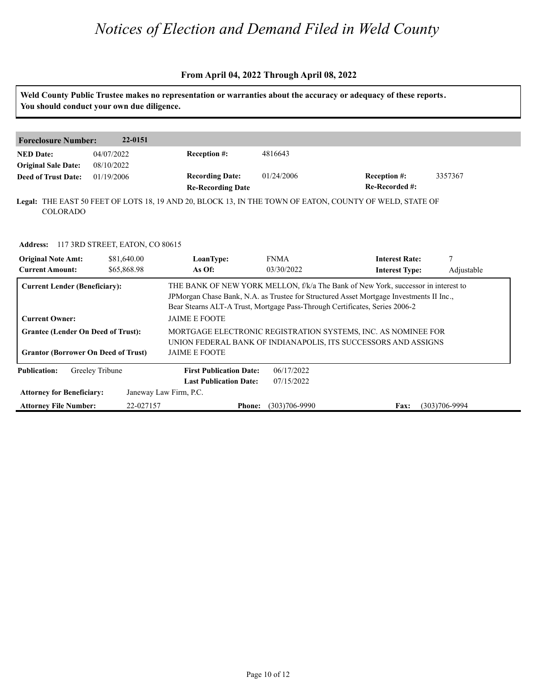#### **From April 04, 2022 Through April 08, 2022**

**Weld County Public Trustee makes no representation or warranties about the accuracy or adequacy of these reports. You should conduct your own due diligence.**

| <b>Foreclosure Number:</b> | 22-0151    |                          |            |                                                                                                         |         |
|----------------------------|------------|--------------------------|------------|---------------------------------------------------------------------------------------------------------|---------|
| <b>NED Date:</b>           | 04/07/2022 | <b>Reception #:</b>      | 4816643    |                                                                                                         |         |
| <b>Original Sale Date:</b> | 08/10/2022 |                          |            |                                                                                                         |         |
| <b>Deed of Trust Date:</b> | 01/19/2006 | <b>Recording Date:</b>   | 01/24/2006 | <b>Reception #:</b>                                                                                     | 3357367 |
|                            |            | <b>Re-Recording Date</b> |            | Re-Recorded #:                                                                                          |         |
|                            |            |                          |            | Legal: THE EAST 50 FEET OF LOTS 18, 19 AND 20, BLOCK 13, IN THE TOWN OF EATON, COUNTY OF WELD, STATE OF |         |
| <b>COLORADO</b>            |            |                          |            |                                                                                                         |         |

| <b>Address:</b>                                     | 117 3RD STREET, EATON, CO 80615            |                                |                                                                                                                                 |                                                                                                                                                                               |                   |  |  |
|-----------------------------------------------------|--------------------------------------------|--------------------------------|---------------------------------------------------------------------------------------------------------------------------------|-------------------------------------------------------------------------------------------------------------------------------------------------------------------------------|-------------------|--|--|
| <b>Original Note Amt:</b><br><b>Current Amount:</b> | \$81,640.00<br>\$65,868.98                 | LoanType:<br>As Of:            | <b>FNMA</b><br>03/30/2022                                                                                                       | <b>Interest Rate:</b><br><b>Interest Type:</b>                                                                                                                                | Adjustable        |  |  |
| <b>Current Lender (Beneficiary):</b>                |                                            |                                | Bear Stearns ALT-A Trust, Mortgage Pass-Through Certificates, Series 2006-2                                                     | THE BANK OF NEW YORK MELLON, f/k/a The Bank of New York, successor in interest to<br>JPM organ Chase Bank, N.A. as Trustee for Structured Asset Mortgage Investments II Inc., |                   |  |  |
| <b>Current Owner:</b>                               |                                            | <b>JAIME E FOOTE</b>           |                                                                                                                                 |                                                                                                                                                                               |                   |  |  |
| <b>Grantee (Lender On Deed of Trust):</b>           |                                            |                                | MORTGAGE ELECTRONIC REGISTRATION SYSTEMS, INC. AS NOMINEE FOR<br>UNION FEDERAL BANK OF INDIANAPOLIS, ITS SUCCESSORS AND ASSIGNS |                                                                                                                                                                               |                   |  |  |
|                                                     | <b>Grantor (Borrower On Deed of Trust)</b> | <b>JAIME E FOOTE</b>           |                                                                                                                                 |                                                                                                                                                                               |                   |  |  |
| <b>Publication:</b>                                 | Greeley Tribune                            | <b>First Publication Date:</b> | 06/17/2022                                                                                                                      |                                                                                                                                                                               |                   |  |  |
|                                                     |                                            | <b>Last Publication Date:</b>  | 07/15/2022                                                                                                                      |                                                                                                                                                                               |                   |  |  |
| <b>Attorney for Beneficiary:</b>                    |                                            | Janeway Law Firm, P.C.         |                                                                                                                                 |                                                                                                                                                                               |                   |  |  |
| <b>Attorney File Number:</b>                        |                                            | 22-027157<br><b>Phone:</b>     | $(303)706 - 9990$                                                                                                               | Fax:                                                                                                                                                                          | $(303)706 - 9994$ |  |  |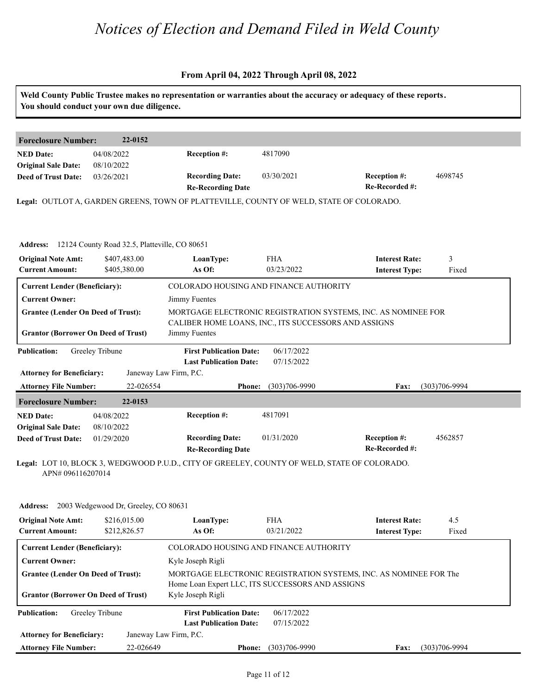|                                                          | You should conduct your own due diligence.             |                                                                                              |                          | Weld County Public Trustee makes no representation or warranties about the accuracy or adequacy of these reports. |                   |
|----------------------------------------------------------|--------------------------------------------------------|----------------------------------------------------------------------------------------------|--------------------------|-------------------------------------------------------------------------------------------------------------------|-------------------|
| <b>Foreclosure Number:</b>                               | 22-0152                                                |                                                                                              |                          |                                                                                                                   |                   |
| <b>NED Date:</b>                                         | 04/08/2022                                             | Reception #:                                                                                 | 4817090                  |                                                                                                                   |                   |
| <b>Original Sale Date:</b>                               | 08/10/2022                                             |                                                                                              |                          |                                                                                                                   |                   |
| <b>Deed of Trust Date:</b>                               | 03/26/2021                                             | <b>Recording Date:</b>                                                                       | 03/30/2021               | <b>Reception #:</b><br>Re-Recorded #:                                                                             | 4698745           |
|                                                          |                                                        | <b>Re-Recording Date</b>                                                                     |                          |                                                                                                                   |                   |
|                                                          |                                                        | Legal: OUTLOT A, GARDEN GREENS, TOWN OF PLATTEVILLE, COUNTY OF WELD, STATE OF COLORADO.      |                          |                                                                                                                   |                   |
|                                                          |                                                        |                                                                                              |                          |                                                                                                                   |                   |
|                                                          | Address: 12124 County Road 32.5, Platteville, CO 80651 |                                                                                              |                          |                                                                                                                   |                   |
| <b>Original Note Amt:</b>                                | \$407,483.00                                           | LoanType:                                                                                    | <b>FHA</b>               | <b>Interest Rate:</b>                                                                                             | 3                 |
| <b>Current Amount:</b>                                   | \$405,380.00                                           | As Of:                                                                                       | 03/23/2022               | <b>Interest Type:</b>                                                                                             | Fixed             |
| <b>Current Lender (Beneficiary):</b>                     |                                                        | COLORADO HOUSING AND FINANCE AUTHORITY                                                       |                          |                                                                                                                   |                   |
| <b>Current Owner:</b>                                    |                                                        | Jimmy Fuentes                                                                                |                          |                                                                                                                   |                   |
| <b>Grantee (Lender On Deed of Trust):</b>                |                                                        |                                                                                              |                          | MORTGAGE ELECTRONIC REGISTRATION SYSTEMS, INC. AS NOMINEE FOR                                                     |                   |
|                                                          |                                                        | CALIBER HOME LOANS, INC., ITS SUCCESSORS AND ASSIGNS                                         |                          |                                                                                                                   |                   |
| <b>Grantor (Borrower On Deed of Trust)</b>               |                                                        | Jimmy Fuentes                                                                                |                          |                                                                                                                   |                   |
| <b>Publication:</b>                                      | Greeley Tribune                                        | <b>First Publication Date:</b>                                                               | 06/17/2022               |                                                                                                                   |                   |
|                                                          |                                                        | <b>Last Publication Date:</b>                                                                | 07/15/2022               |                                                                                                                   |                   |
| <b>Attorney for Beneficiary:</b>                         |                                                        | Janeway Law Firm, P.C.                                                                       |                          |                                                                                                                   |                   |
| <b>Attorney File Number:</b>                             | 22-026554                                              | <b>Phone:</b>                                                                                | $(303)706 - 9990$        | Fax:                                                                                                              | $(303)706 - 9994$ |
| <b>Foreclosure Number:</b>                               | 22-0153                                                |                                                                                              |                          |                                                                                                                   |                   |
| <b>NED Date:</b>                                         | 04/08/2022                                             | Reception #:                                                                                 | 4817091                  |                                                                                                                   |                   |
| <b>Original Sale Date:</b><br><b>Deed of Trust Date:</b> | 08/10/2022<br>01/29/2020                               | <b>Recording Date:</b>                                                                       | 01/31/2020               | Reception #:                                                                                                      | 4562857           |
|                                                          |                                                        | <b>Re-Recording Date</b>                                                                     |                          | Re-Recorded #:                                                                                                    |                   |
| APN# 096116207014                                        |                                                        | Legal: LOT 10, BLOCK 3, WEDGWOOD P.U.D., CITY OF GREELEY, COUNTY OF WELD, STATE OF COLORADO. |                          |                                                                                                                   |                   |
|                                                          | Address: 2003 Wedgewood Dr, Greeley, CO 80631          |                                                                                              |                          |                                                                                                                   |                   |
| <b>Original Note Amt:</b>                                | \$216,015.00                                           | LoanType:                                                                                    | <b>FHA</b>               | <b>Interest Rate:</b>                                                                                             | 4.5               |
| <b>Current Amount:</b>                                   | \$212,826.57                                           | As Of:                                                                                       | 03/21/2022               | <b>Interest Type:</b>                                                                                             | Fixed             |
| <b>Current Lender (Beneficiary):</b>                     |                                                        | COLORADO HOUSING AND FINANCE AUTHORITY                                                       |                          |                                                                                                                   |                   |
| <b>Current Owner:</b>                                    |                                                        | Kyle Joseph Rigli                                                                            |                          |                                                                                                                   |                   |
| <b>Grantee (Lender On Deed of Trust):</b>                |                                                        |                                                                                              |                          | MORTGAGE ELECTRONIC REGISTRATION SYSTEMS, INC. AS NOMINEE FOR The                                                 |                   |
| <b>Grantor (Borrower On Deed of Trust)</b>               |                                                        | Home Loan Expert LLC, ITS SUCCESSORS AND ASSIGNS<br>Kyle Joseph Rigli                        |                          |                                                                                                                   |                   |
| <b>Publication:</b>                                      | Greeley Tribune                                        | <b>First Publication Date:</b><br><b>Last Publication Date:</b>                              | 06/17/2022<br>07/15/2022 |                                                                                                                   |                   |
|                                                          |                                                        | Janeway Law Firm, P.C.                                                                       |                          |                                                                                                                   |                   |
| <b>Attorney for Beneficiary:</b>                         |                                                        |                                                                                              |                          |                                                                                                                   |                   |